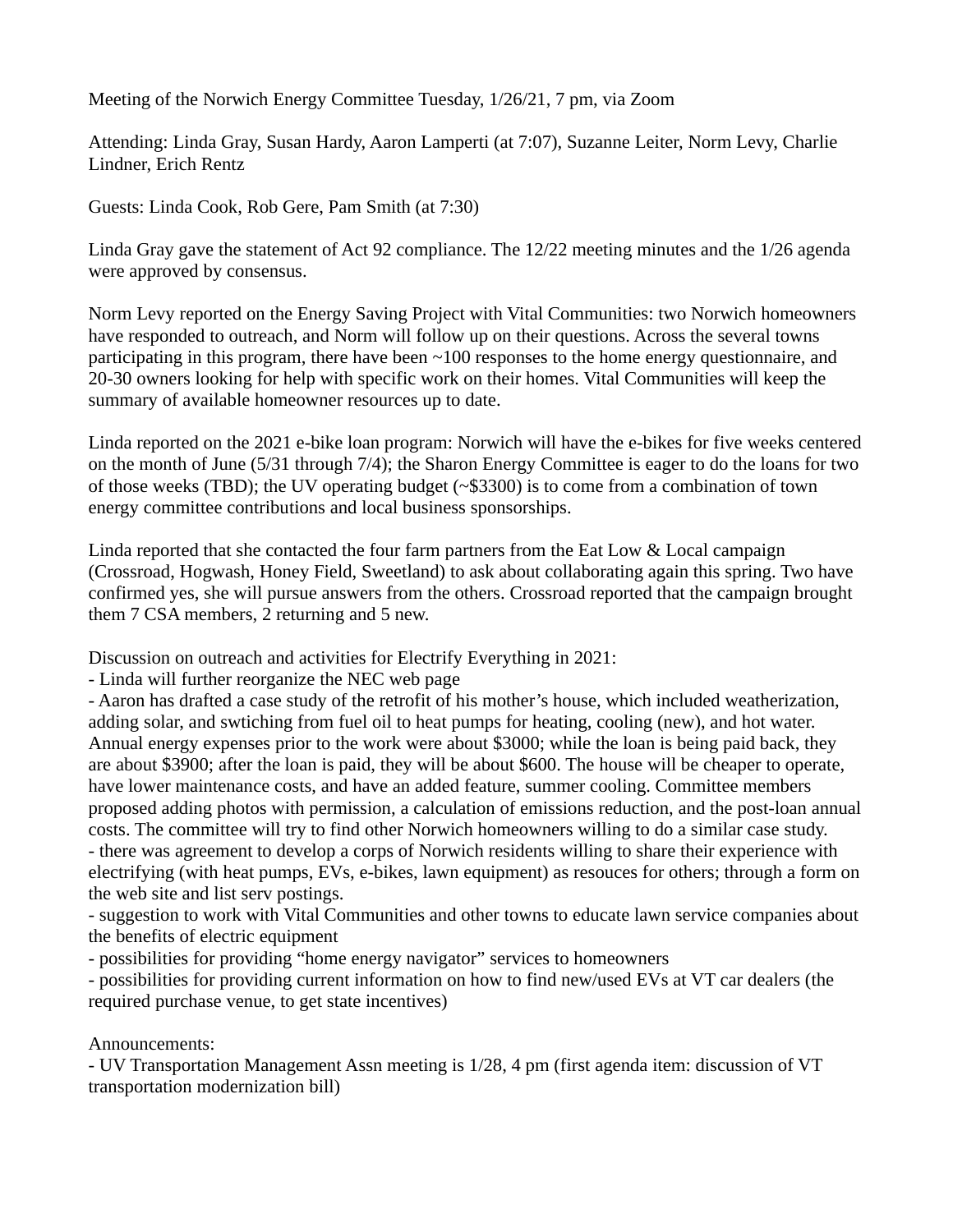Meeting of the Norwich Energy Committee Tuesday, 1/26/21, 7 pm, via Zoom

Attending: Linda Gray, Susan Hardy, Aaron Lamperti (at 7:07), Suzanne Leiter, Norm Levy, Charlie Lindner, Erich Rentz

Guests: Linda Cook, Rob Gere, Pam Smith (at 7:30)

Linda Gray gave the statement of Act 92 compliance. The 12/22 meeting minutes and the 1/26 agenda were approved by consensus.

Norm Levy reported on the Energy Saving Project with Vital Communities: two Norwich homeowners have responded to outreach, and Norm will follow up on their questions. Across the several towns participating in this program, there have been  $\sim$ 100 responses to the home energy questionnaire, and 20-30 owners looking for help with specific work on their homes. Vital Communities will keep the summary of available homeowner resources up to date.

Linda reported on the 2021 e-bike loan program: Norwich will have the e-bikes for five weeks centered on the month of June (5/31 through 7/4); the Sharon Energy Committee is eager to do the loans for two of those weeks (TBD); the UV operating budget (~\$3300) is to come from a combination of town energy committee contributions and local business sponsorships.

Linda reported that she contacted the four farm partners from the Eat Low & Local campaign (Crossroad, Hogwash, Honey Field, Sweetland) to ask about collaborating again this spring. Two have confirmed yes, she will pursue answers from the others. Crossroad reported that the campaign brought them 7 CSA members, 2 returning and 5 new.

Discussion on outreach and activities for Electrify Everything in 2021:

- Linda will further reorganize the NEC web page

- Aaron has drafted a case study of the retrofit of his mother's house, which included weatherization, adding solar, and swtiching from fuel oil to heat pumps for heating, cooling (new), and hot water. Annual energy expenses prior to the work were about \$3000; while the loan is being paid back, they are about \$3900; after the loan is paid, they will be about \$600. The house will be cheaper to operate, have lower maintenance costs, and have an added feature, summer cooling. Committee members proposed adding photos with permission, a calculation of emissions reduction, and the post-loan annual costs. The committee will try to find other Norwich homeowners willing to do a similar case study. - there was agreement to develop a corps of Norwich residents willing to share their experience with electrifying (with heat pumps, EVs, e-bikes, lawn equipment) as resouces for others; through a form on the web site and list serv postings.

- suggestion to work with Vital Communities and other towns to educate lawn service companies about the benefits of electric equipment

- possibilities for providing "home energy navigator" services to homeowners

- possibilities for providing current information on how to find new/used EVs at VT car dealers (the required purchase venue, to get state incentives)

## Announcements:

- UV Transportation Management Assn meeting is 1/28, 4 pm (first agenda item: discussion of VT transportation modernization bill)